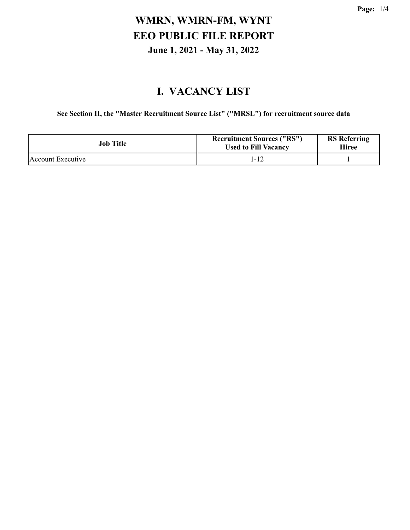#### **I. VACANCY LIST**

**See Section II, the "Master Recruitment Source List" ("MRSL") for recruitment source data**

| Job Title         | <b>Recruitment Sources ("RS")</b><br><b>Used to Fill Vacancy</b> | <b>RS</b> Referring<br>Hiree |
|-------------------|------------------------------------------------------------------|------------------------------|
| Account Executive | 1-12                                                             |                              |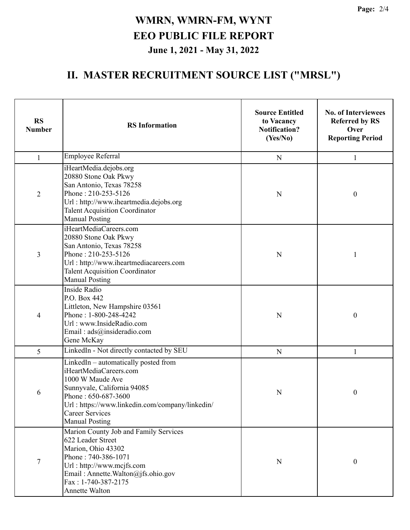#### **II. MASTER RECRUITMENT SOURCE LIST ("MRSL")**

| <b>RS</b><br><b>Number</b> | <b>RS</b> Information                                                                                                                                                                                                                            | <b>Source Entitled</b><br>to Vacancy<br><b>Notification?</b><br>(Yes/No) | <b>No. of Interviewees</b><br><b>Referred by RS</b><br>Over<br><b>Reporting Period</b> |
|----------------------------|--------------------------------------------------------------------------------------------------------------------------------------------------------------------------------------------------------------------------------------------------|--------------------------------------------------------------------------|----------------------------------------------------------------------------------------|
| $\mathbf{1}$               | Employee Referral                                                                                                                                                                                                                                | $\mathbf N$                                                              | 1                                                                                      |
| $\overline{2}$             | iHeartMedia.dejobs.org<br>20880 Stone Oak Pkwy<br>San Antonio, Texas 78258<br>Phone: 210-253-5126<br>Url: http://www.iheartmedia.dejobs.org<br><b>Talent Acquisition Coordinator</b><br><b>Manual Posting</b>                                    | N                                                                        | $\boldsymbol{0}$                                                                       |
| 3                          | iHeartMediaCareers.com<br>20880 Stone Oak Pkwy<br>San Antonio, Texas 78258<br>Phone: 210-253-5126<br>Url: http://www.iheartmediacareers.com<br><b>Talent Acquisition Coordinator</b><br><b>Manual Posting</b>                                    | N                                                                        | 1                                                                                      |
| 4                          | <b>Inside Radio</b><br>P.O. Box 442<br>Littleton, New Hampshire 03561<br>Phone: 1-800-248-4242<br>Url: www.InsideRadio.com<br>Email: ads@insideradio.com<br>Gene McKay                                                                           | N                                                                        | $\boldsymbol{0}$                                                                       |
| 5                          | LinkedIn - Not directly contacted by SEU                                                                                                                                                                                                         | $\mathbf N$                                                              | 1                                                                                      |
| 6                          | LinkedIn $-$ automatically posted from<br>iHeartMediaCareers.com<br>1000 W Maude Ave<br>Sunnyvale, California 94085<br>Phone: 650-687-3600<br>Url: https://www.linkedin.com/company/linkedin/<br><b>Career Services</b><br><b>Manual Posting</b> | N                                                                        | 0                                                                                      |
| 7                          | Marion County Job and Family Services<br>622 Leader Street<br>Marion, Ohio 43302<br>Phone: 740-386-1071<br>Url: http://www.mcjfs.com<br>Email: Annette. Walton@jfs.ohio.gov<br>Fax: 1-740-387-2175<br>Annette Walton                             | N                                                                        | $\boldsymbol{0}$                                                                       |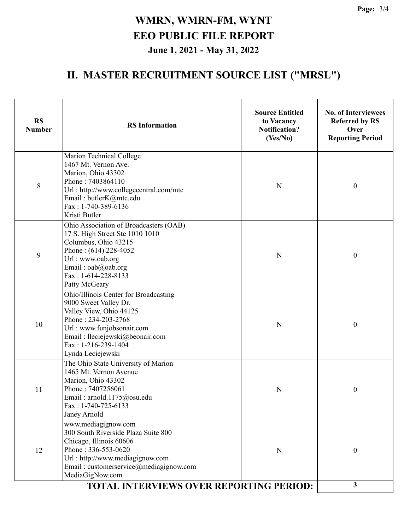# **II. MASTER RECRUITMENT SOURCE LIST ("MRSL")**

| Marion Technical College<br>1467 Mt. Vernon Ave.<br>Marion, Ohio 43302<br>Phone: 7403864110<br>8<br>$\boldsymbol{0}$<br>N<br>Url: http://www.collegecentral.com/mtc<br>Email: butlerK@mtc.edu<br>Fax: 1-740-389-6136<br>Kristi Butler<br>Ohio Association of Broadcasters (OAB)<br>17 S. High Street Ste 1010 1010<br>Columbus, Ohio 43215<br>Phone: $(614)$ 228-4052<br>9<br>$\boldsymbol{0}$<br>N<br>Url: www.oab.org<br>Email: oab@oab.org<br>Fax: 1-614-228-8133<br>Patty McGeary<br>Ohio/Illinois Center for Broadcasting<br>9000 Sweet Valley Dr.<br>Valley View, Ohio 44125<br>Phone: 234-203-2768<br>10<br>N<br>$\boldsymbol{0}$<br>Url: www.funjobsonair.com<br>Email : lleciejewski@beonair.com<br>$Fax: 1-216-239-1404$<br>Lynda Leciejewski<br>The Ohio State University of Marion<br>1465 Mt. Vernon Avenue<br>Marion, Ohio 43302<br>Phone: 7407256061<br>11<br>$\boldsymbol{0}$<br>N<br>Email: arnold.1175@osu.edu<br>Fax: 1-740-725-6133<br>Janey Arnold<br>www.mediagignow.com<br>300 South Riverside Plaza Suite 800 | <b>RS</b><br><b>Number</b> | <b>RS</b> Information   | <b>Source Entitled</b><br>to Vacancy<br><b>Notification?</b><br>(Yes/No) | <b>No. of Interviewees</b><br><b>Referred by RS</b><br>Over<br><b>Reporting Period</b> |
|---------------------------------------------------------------------------------------------------------------------------------------------------------------------------------------------------------------------------------------------------------------------------------------------------------------------------------------------------------------------------------------------------------------------------------------------------------------------------------------------------------------------------------------------------------------------------------------------------------------------------------------------------------------------------------------------------------------------------------------------------------------------------------------------------------------------------------------------------------------------------------------------------------------------------------------------------------------------------------------------------------------------------------------|----------------------------|-------------------------|--------------------------------------------------------------------------|----------------------------------------------------------------------------------------|
|                                                                                                                                                                                                                                                                                                                                                                                                                                                                                                                                                                                                                                                                                                                                                                                                                                                                                                                                                                                                                                       |                            |                         |                                                                          |                                                                                        |
|                                                                                                                                                                                                                                                                                                                                                                                                                                                                                                                                                                                                                                                                                                                                                                                                                                                                                                                                                                                                                                       |                            |                         |                                                                          |                                                                                        |
|                                                                                                                                                                                                                                                                                                                                                                                                                                                                                                                                                                                                                                                                                                                                                                                                                                                                                                                                                                                                                                       |                            |                         |                                                                          |                                                                                        |
|                                                                                                                                                                                                                                                                                                                                                                                                                                                                                                                                                                                                                                                                                                                                                                                                                                                                                                                                                                                                                                       |                            |                         |                                                                          |                                                                                        |
| Phone: 336-553-0620<br>12<br>$\boldsymbol{0}$<br>N<br>Url: http://www.mediagignow.com<br>Email: customerservice@mediagignow.com<br>MediaGigNow.com<br>$\mathbf{3}$<br><b>TOTAL INTERVIEWS OVER REPORTING PERIOD:</b>                                                                                                                                                                                                                                                                                                                                                                                                                                                                                                                                                                                                                                                                                                                                                                                                                  |                            | Chicago, Illinois 60606 |                                                                          |                                                                                        |